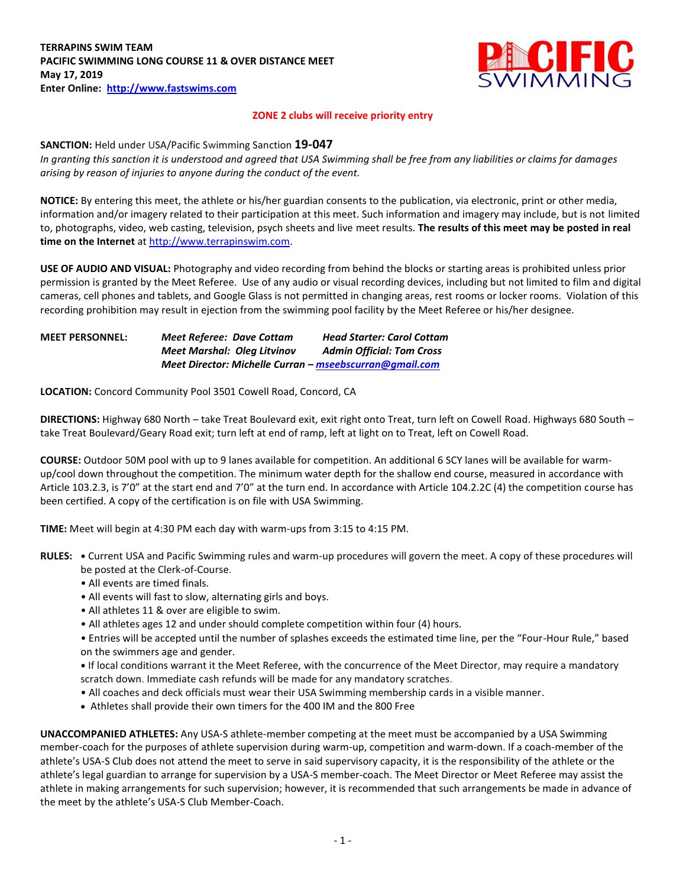

## **ZONE 2 clubs will receive priority entry**

## **SANCTION:** Held under USA/Pacific Swimming Sanction **19-047**

*In granting this sanction it is understood and agreed that USA Swimming shall be free from any liabilities or claims for damages arising by reason of injuries to anyone during the conduct of the event.* 

**NOTICE:** By entering this meet, the athlete or his/her guardian consents to the publication, via electronic, print or other media, information and/or imagery related to their participation at this meet. Such information and imagery may include, but is not limited to, photographs, video, web casting, television, psych sheets and live meet results. **The results of this meet may be posted in real time on the Internet** at [http://www.terrapinswim.com.](http://www.terrapinswim.com/)

**USE OF AUDIO AND VISUAL:** Photography and video recording from behind the blocks or starting areas is prohibited unless prior permission is granted by the Meet Referee. Use of any audio or visual recording devices, including but not limited to film and digital cameras, cell phones and tablets, and Google Glass is not permitted in changing areas, rest rooms or locker rooms. Violation of this recording prohibition may result in ejection from the swimming pool facility by the Meet Referee or his/her designee.

## **MEET PERSONNEL:** *Meet Referee: Dave Cottam Head Starter: Carol Cottam Meet Marshal: Oleg Litvinov Admin Official: Tom Cross Meet Director: Michelle Curran – [mseebscurran@gmail.com](mailto:mseebscurran@gmail.com)*

**LOCATION:** Concord Community Pool 3501 Cowell Road, Concord, CA

**DIRECTIONS:** Highway 680 North – take Treat Boulevard exit, exit right onto Treat, turn left on Cowell Road. Highways 680 South – take Treat Boulevard/Geary Road exit; turn left at end of ramp, left at light on to Treat, left on Cowell Road.

**COURSE:** Outdoor 50M pool with up to 9 lanes available for competition. An additional 6 SCY lanes will be available for warmup/cool down throughout the competition. The minimum water depth for the shallow end course, measured in accordance with Article 103.2.3, is 7'0" at the start end and 7'0" at the turn end. In accordance with Article 104.2.2C (4) the competition course has been certified. A copy of the certification is on file with USA Swimming.

**TIME:** Meet will begin at 4:30 PM each day with warm-ups from 3:15 to 4:15 PM.

- **RULES: •** Current USA and Pacific Swimming rules and warm-up procedures will govern the meet. A copy of these procedures will be posted at the Clerk-of-Course.
	- All events are timed finals.
	- All events will fast to slow, alternating girls and boys.
	- All athletes 11 & over are eligible to swim.
	- All athletes ages 12 and under should complete competition within four (4) hours.
	- Entries will be accepted until the number of splashes exceeds the estimated time line, per the "Four-Hour Rule," based on the swimmers age and gender.

**•** If local conditions warrant it the Meet Referee, with the concurrence of the Meet Director, may require a mandatory scratch down. Immediate cash refunds will be made for any mandatory scratches.

- All coaches and deck officials must wear their USA Swimming membership cards in a visible manner.
- Athletes shall provide their own timers for the 400 IM and the 800 Free

**UNACCOMPANIED ATHLETES:** Any USA-S athlete-member competing at the meet must be accompanied by a USA Swimming member-coach for the purposes of athlete supervision during warm-up, competition and warm-down. If a coach-member of the athlete's USA-S Club does not attend the meet to serve in said supervisory capacity, it is the responsibility of the athlete or the athlete's legal guardian to arrange for supervision by a USA-S member-coach. The Meet Director or Meet Referee may assist the athlete in making arrangements for such supervision; however, it is recommended that such arrangements be made in advance of the meet by the athlete's USA-S Club Member-Coach.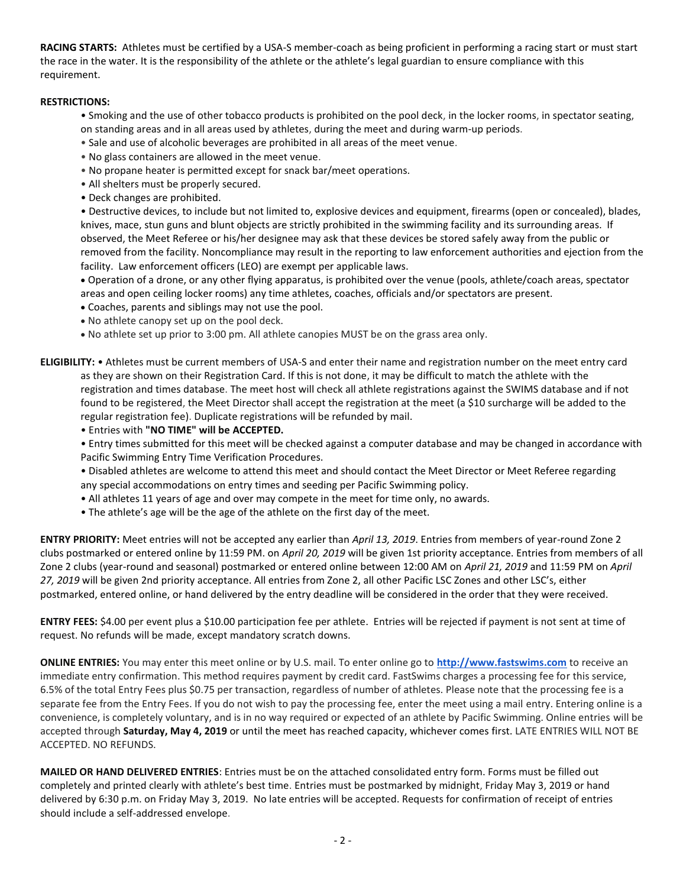**RACING STARTS:** Athletes must be certified by a USA-S member-coach as being proficient in performing a racing start or must start the race in the water. It is the responsibility of the athlete or the athlete's legal guardian to ensure compliance with this requirement.

# **RESTRICTIONS:**

- Smoking and the use of other tobacco products is prohibited on the pool deck, in the locker rooms, in spectator seating, on standing areas and in all areas used by athletes, during the meet and during warm-up periods.
- Sale and use of alcoholic beverages are prohibited in all areas of the meet venue.
- No glass containers are allowed in the meet venue.
- No propane heater is permitted except for snack bar/meet operations.
- All shelters must be properly secured.
- Deck changes are prohibited.

• Destructive devices, to include but not limited to, explosive devices and equipment, firearms (open or concealed), blades, knives, mace, stun guns and blunt objects are strictly prohibited in the swimming facility and its surrounding areas. If observed, the Meet Referee or his/her designee may ask that these devices be stored safely away from the public or removed from the facility. Noncompliance may result in the reporting to law enforcement authorities and ejection from the facility. Law enforcement officers (LEO) are exempt per applicable laws.

 Operation of a drone, or any other flying apparatus, is prohibited over the venue (pools, athlete/coach areas, spectator areas and open ceiling locker rooms) any time athletes, coaches, officials and/or spectators are present.

- Coaches, parents and siblings may not use the pool.
- No athlete canopy set up on the pool deck.
- No athlete set up prior to 3:00 pm. All athlete canopies MUST be on the grass area only.

**ELIGIBILITY:** • Athletes must be current members of USA-S and enter their name and registration number on the meet entry card as they are shown on their Registration Card. If this is not done, it may be difficult to match the athlete with the registration and times database. The meet host will check all athlete registrations against the SWIMS database and if not found to be registered, the Meet Director shall accept the registration at the meet (a \$10 surcharge will be added to the regular registration fee). Duplicate registrations will be refunded by mail.

• Entries with **"NO TIME" will be ACCEPTED.**

• Entry times submitted for this meet will be checked against a computer database and may be changed in accordance with Pacific Swimming Entry Time Verification Procedures.

- Disabled athletes are welcome to attend this meet and should contact the Meet Director or Meet Referee regarding any special accommodations on entry times and seeding per Pacific Swimming policy.
- All athletes 11 years of age and over may compete in the meet for time only, no awards.
- The athlete's age will be the age of the athlete on the first day of the meet.

**ENTRY PRIORITY:** Meet entries will not be accepted any earlier than *April 13, 2019*. Entries from members of year-round Zone 2 clubs postmarked or entered online by 11:59 PM. on *April 20, 2019* will be given 1st priority acceptance. Entries from members of all Zone 2 clubs (year-round and seasonal) postmarked or entered online between 12:00 AM on *April 21, 2019* and 11:59 PM on *April 27, 2019* will be given 2nd priority acceptance. All entries from Zone 2, all other Pacific LSC Zones and other LSC's, either postmarked, entered online, or hand delivered by the entry deadline will be considered in the order that they were received.

**ENTRY FEES:** \$4.00 per event plus a \$10.00 participation fee per athlete. Entries will be rejected if payment is not sent at time of request. No refunds will be made, except mandatory scratch downs.

**ONLINE ENTRIES:** You may enter this meet online or by U.S. mail. To enter online go to **[http://www.fastswims.com](http://www.fastswims.com/)** to receive an immediate entry confirmation. This method requires payment by credit card. FastSwims charges a processing fee for this service, 6.5% of the total Entry Fees plus \$0.75 per transaction, regardless of number of athletes. Please note that the processing fee is a separate fee from the Entry Fees. If you do not wish to pay the processing fee, enter the meet using a mail entry. Entering online is a convenience, is completely voluntary, and is in no way required or expected of an athlete by Pacific Swimming. Online entries will be accepted through **Saturday, May 4, 2019** or until the meet has reached capacity, whichever comes first. LATE ENTRIES WILL NOT BE ACCEPTED. NO REFUNDS.

**MAILED OR HAND DELIVERED ENTRIES**: Entries must be on the attached consolidated entry form. Forms must be filled out completely and printed clearly with athlete's best time. Entries must be postmarked by midnight, Friday May 3, 2019 or hand delivered by 6:30 p.m. on Friday May 3, 2019. No late entries will be accepted. Requests for confirmation of receipt of entries should include a self-addressed envelope.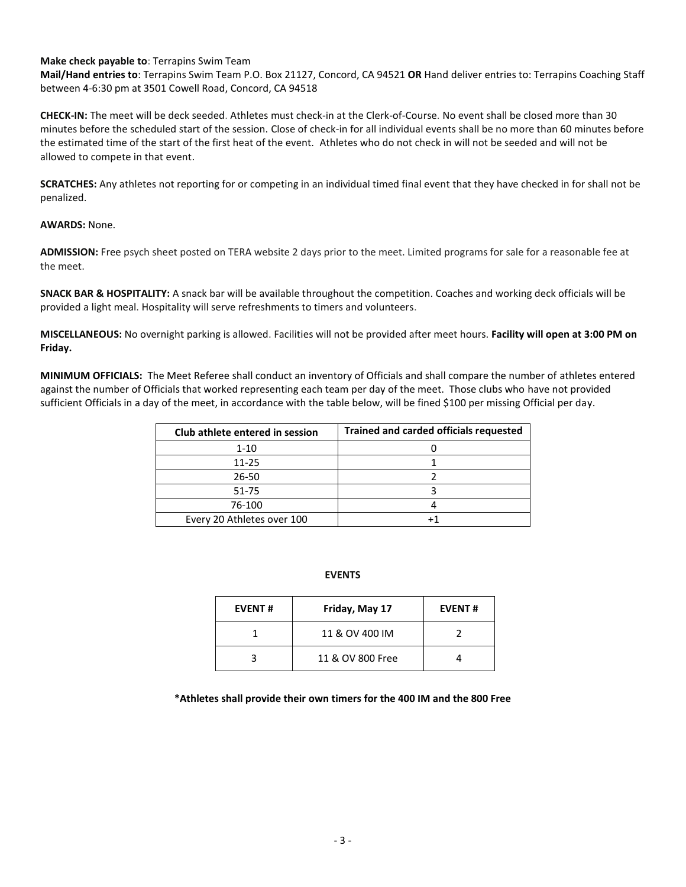## **Make check payable to**: Terrapins Swim Team

**Mail/Hand entries to**: Terrapins Swim Team P.O. Box 21127, Concord, CA 94521 **OR** Hand deliver entries to: Terrapins Coaching Staff between 4-6:30 pm at 3501 Cowell Road, Concord, CA 94518

**CHECK-IN:** The meet will be deck seeded. Athletes must check-in at the Clerk-of-Course. No event shall be closed more than 30 minutes before the scheduled start of the session. Close of check-in for all individual events shall be no more than 60 minutes before the estimated time of the start of the first heat of the event. Athletes who do not check in will not be seeded and will not be allowed to compete in that event.

**SCRATCHES:** Any athletes not reporting for or competing in an individual timed final event that they have checked in for shall not be penalized.

### **AWARDS:** None.

**ADMISSION:** Free psych sheet posted on TERA website 2 days prior to the meet. Limited programs for sale for a reasonable fee at the meet.

**SNACK BAR & HOSPITALITY:** A snack bar will be available throughout the competition. Coaches and working deck officials will be provided a light meal. Hospitality will serve refreshments to timers and volunteers.

**MISCELLANEOUS:** No overnight parking is allowed. Facilities will not be provided after meet hours. **Facility will open at 3:00 PM on Friday.**

**MINIMUM OFFICIALS:** The Meet Referee shall conduct an inventory of Officials and shall compare the number of athletes entered against the number of Officials that worked representing each team per day of the meet. Those clubs who have not provided sufficient Officials in a day of the meet, in accordance with the table below, will be fined \$100 per missing Official per day.

| Club athlete entered in session | <b>Trained and carded officials requested</b> |
|---------------------------------|-----------------------------------------------|
| $1 - 10$                        |                                               |
| 11-25                           |                                               |
| 26-50                           |                                               |
| 51-75                           |                                               |
| 76-100                          |                                               |
| Every 20 Athletes over 100      |                                               |

### **EVENTS**

| <b>EVENT#</b> | Friday, May 17   | <b>EVENT#</b> |  |  |
|---------------|------------------|---------------|--|--|
|               | 11 & OV 400 IM   |               |  |  |
|               | 11 & OV 800 Free |               |  |  |

**\*Athletes shall provide their own timers for the 400 IM and the 800 Free**